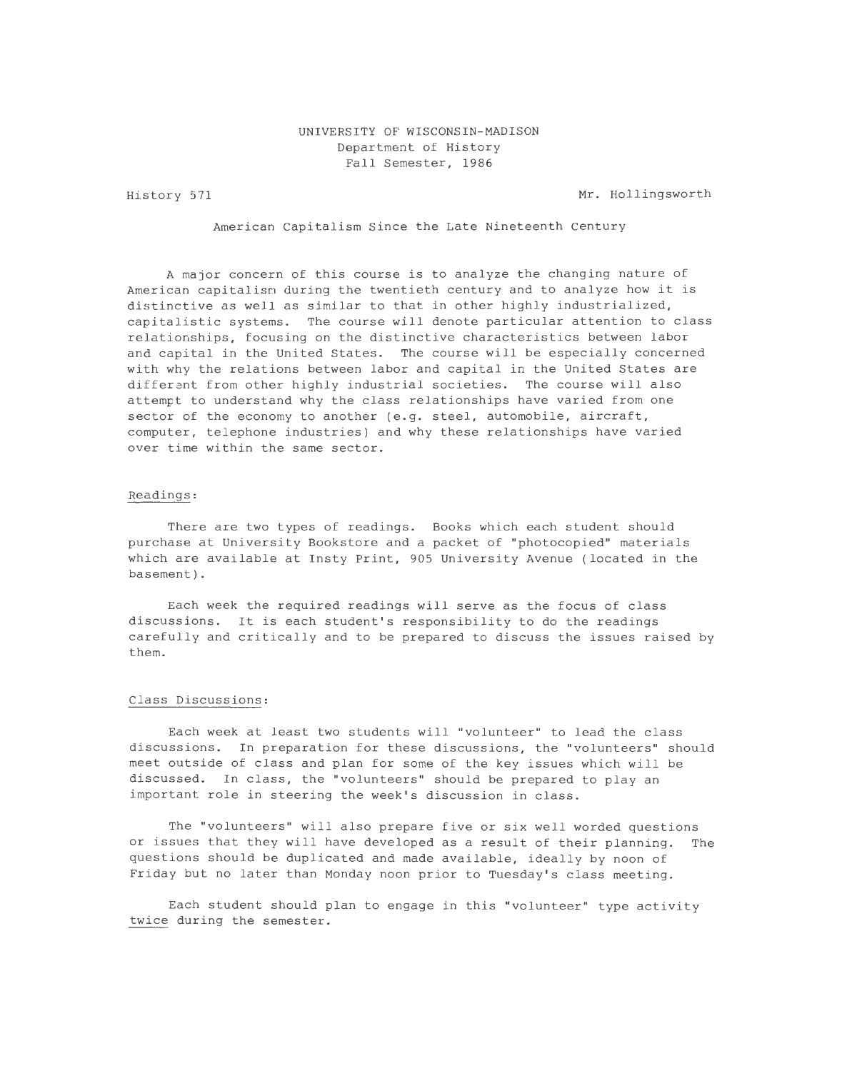# UNIVERSITY OF WISCONSIN-MADISON Department of History Fall Semester, 1986

History 571

Mr. Hollingsworth

American Capitalism Since the Late Nineteenth Century

A major concern of this course is to analyze the changing nature of American capitalism during the twentieth century and to analyze how it is distinctive as well as similar to that in other highly industrialized, capitalistic systems. The course will denote particular attention to class relationships, focusing on the distinctive characteristics between labor and capital in the United States. The course will be especially concerned with why the relations between labor and capital in the United States are different from other highly industrial societies. The course will also attempt to understand why the class relationships have varied from one sector of the economy to another (e.g. steel, automobile, aircraft, computer, telephone industries) and why these relationships have varied over time within the same sector.

## Readings:

There are two types of readings. Books which each student should purchase at University Bookstore and a packet of "photocopied" materials which are available at Insty Print, 905 University Avenue (located in the basement).

Each week the required readings will serve as the focus of class discussions. It is each student's responsibility to do the readings carefully and critically and to be prepared to discuss the issues raised by them.

## Class Discussions:

Each week at least two students will "volunteer" to lead the class discussions. In preparation for these discussions, the "volunteers" should meet outside of class and plan for some of the key issues which will be discussed. In class, the "volunteers" should be prepared to play an important role in steering the week's discussion in class.

The "volunteers" will also prepare five or six well worded questions or issues that they will have developed as a result of their planning. The questions should be duplicated and made available, ideally by noon of Friday but no later than Monday noon prior to Tuesday's class meeting.

Each student should plan to engage in this "volunteer" type activity twice during the semester.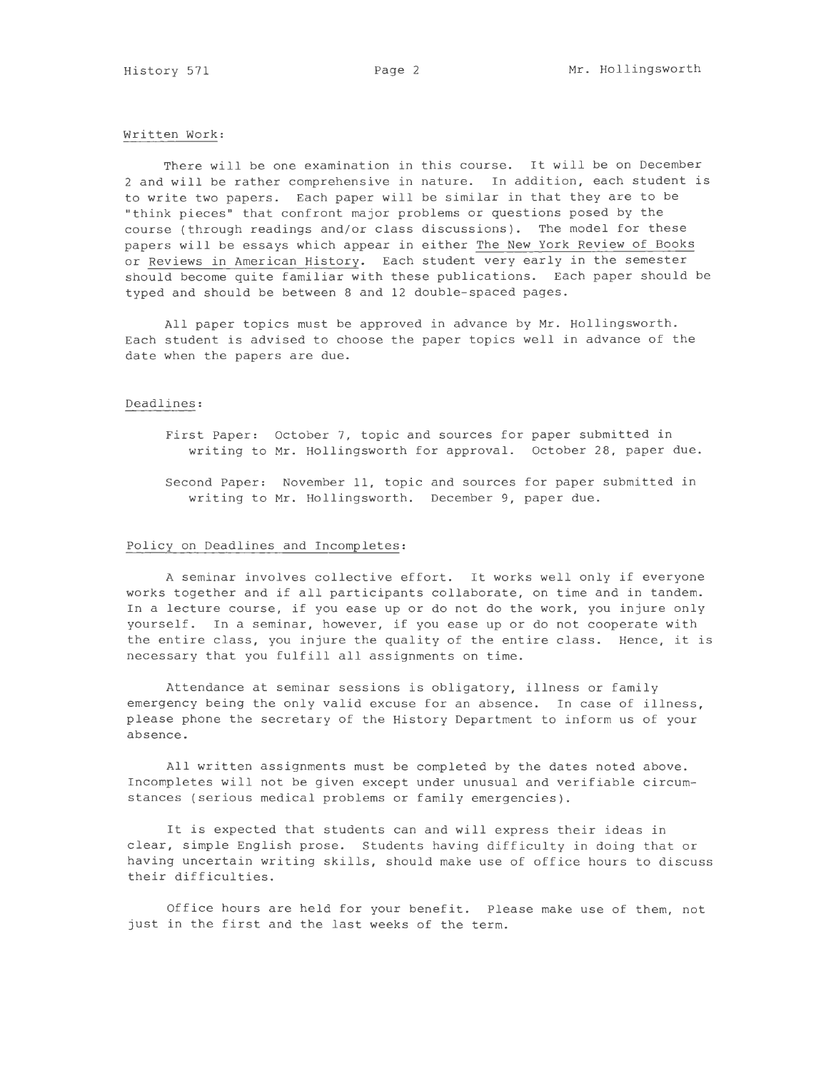## Written Work:

There will be one examination in this course. It will be on December 2 and will be rather comprehensive in nature. In addition, each student is to write two papers. Each paper will be similar in that they are to be "think pieces" that confront major problems or questions posed by the course (through readings and/or class discussions). The model for these papers will be essays which appear in either The New York Review of Books or Reviews in American History. Each student very early in the semester should become quite familiar with these publications. Each paper should be typed and should be between 8 and 12 double-spaced pages.

All paper topics must be approved in advance by Mr. Hollingsworth. Each student is advised to choose the paper topics well in advance of the date when the papers are due.

## Deadlines:

- First Paper: October 7, topic and sources for paper submitted in writing to Mr. Hollingsworth for approval. October 28, paper due.
- Second Paper: November 11, topic and sources for paper submitted in writing to Mr. Hollingsworth. December 9, paper due.

#### Policy on Deadlines and Incompletes:

A seminar involves collective effort. It works well only if everyone works together and if all participants collaborate, on time and in tandem. In a lecture course, if you ease up or do not do the work, you injure only yourself. In a seminar, however, if you ease up or do not cooperate with the entire class, you injure the quality of the entire class. Hence, it is necessary that you fulfill all assignments on time.

Attendance at seminar sessions is obligatory, illness or family emergency being the only valid excuse for an absence. In case of illness, please phone the secretary of the History Department to inform us of your absence.

All written assignments must be completed by the dates noted above. Incompletes will not be given except under unusual and verifiable circumstances (serious medical problems or family emergencies).

It is expected that students can and will express their ideas in clear, simple English prose. Students having difficulty in doing that or having uncertain writing skills, should make use of office hours to discuss their difficulties.

Office hours are held for your benefit. Please make use of them, not just in the first and the last weeks of the term.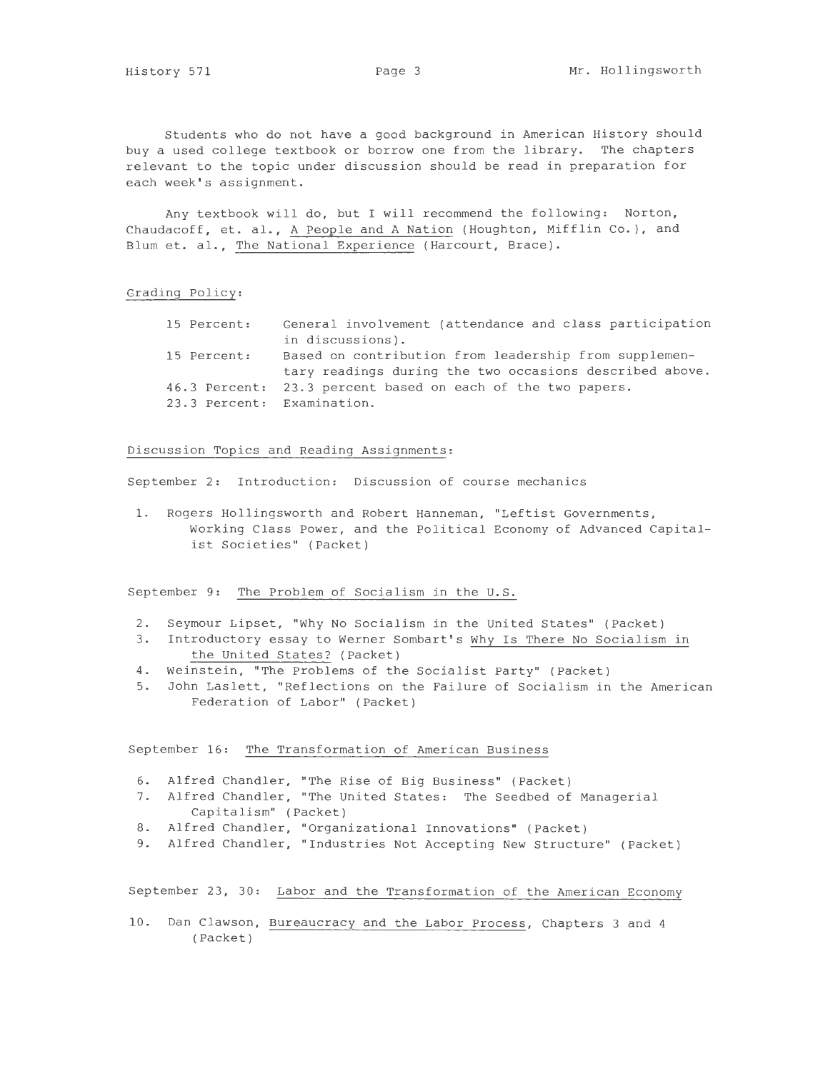Students who do not have a good background in American History should buy a used college textbook or borrow one from the library. The chapters relevant to the topic under discussion should be read in preparation for each week's assignment.

Any textbook will do, but I will recommend the following: Norton, Chaudacoff, et. al., A People and A Nation (Houghton, Mifflin Co.), and Blum et. al., The National Experience (Harcourt, Brace).

#### Grading Policy:

| 15 Percent: | General involvement (attendance and class participation     |
|-------------|-------------------------------------------------------------|
|             | in discussions).                                            |
| 15 Percent: | Based on contribution from leadership from supplemen-       |
|             | tary readings during the two occasions described above.     |
|             | 46.3 Percent: 23.3 percent based on each of the two papers. |
|             | 23.3 Percent: Examination.                                  |

#### Discussion Topics and Reading Assignments:

September 2: Introduction: Discussion of course mechanics

1. Rogers Hollingsworth and Robert Hanneman, "Leftist Governments, Working Class Power, and the Political Economy of Advanced Capitalist Societies" (Packet)

September 9: The Problem of Socialism in the U.S.

- 2. Seymour Lipset, "Why No Socialism in the United States" (Packet)
- 3. Introductory essay to Werner Sombart's Why Is There No Socialism in the United States? (Packet)
- 4. Weinstein, "The Problems of the Socialist Party" (Packet)
- 5. John Laslett, "Reflections on the Failure of Socialism in the American Federation of Labor" (Packet)

September 16: The Transformation of American Business

- 6. Alfred Chandler, "The Rise of Big Business" (Packet)
- 7. Alfred Chandler, "The United States: The Seedbed of Managerial Capitalism" (Packet)
- 8. Alfred Chandler, "Organizational Innovations" (Packet)
- 9. Alfred Chandler, "Industries Not Accepting New Structure" (Packet)

September 23, 30: Labor and the Transformation of the American Economy

10. Dan Clawson, Bureaucracy and the Labor Process, Chapters 3 and 4 (Packet)